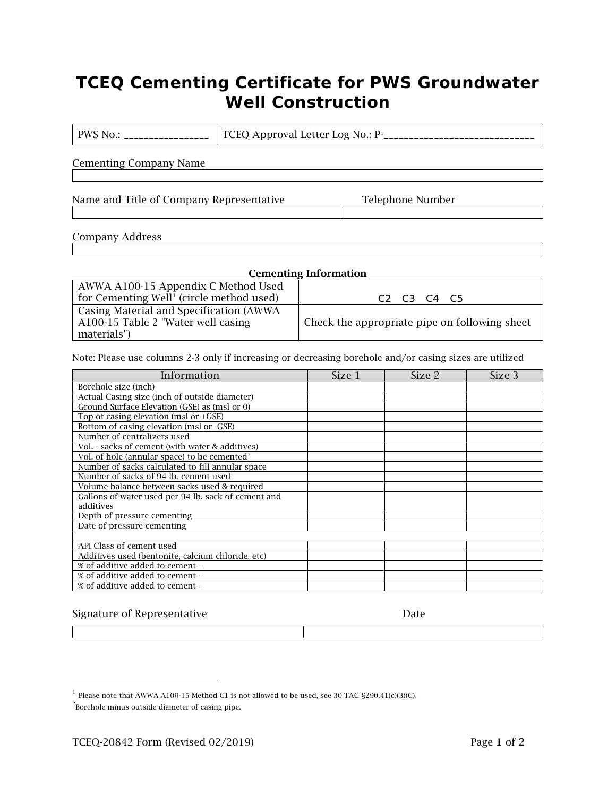# **TCEQ Cementing Certificate for PWS Groundwater Well Construction**

PWS No.: \_\_\_\_\_\_\_\_\_\_\_\_\_\_\_\_\_ TCEQ Approval Letter Log No.: P-\_\_\_\_\_\_\_\_\_\_\_\_\_\_\_\_\_\_\_\_\_\_\_\_\_\_\_\_\_\_

Cementing Company Name

Name and Title of Company Representative Telephone Number

#### Company Address

| <b>Cementing Information</b>                         |                                                             |  |  |
|------------------------------------------------------|-------------------------------------------------------------|--|--|
| AWWA A100-15 Appendix C Method Used                  |                                                             |  |  |
| for Cementing Well <sup>1</sup> (circle method used) | C <sub>2</sub> C <sub>3</sub> C <sub>4</sub> C <sub>5</sub> |  |  |
| Casing Material and Specification (AWWA)             |                                                             |  |  |
| A100-15 Table 2 "Water well casing                   | Check the appropriate pipe on following sheet               |  |  |
| materials")                                          |                                                             |  |  |

Note: Please use columns 2-3 only if increasing or decreasing borehole and/or casing sizes are utilized

| Information                                              | Size 1 | Size 2 | Size 3 |
|----------------------------------------------------------|--------|--------|--------|
| Borehole size (inch)                                     |        |        |        |
| Actual Casing size (inch of outside diameter)            |        |        |        |
| Ground Surface Elevation (GSE) as (msl or 0)             |        |        |        |
| Top of casing elevation (msl or $+GSE$ )                 |        |        |        |
| Bottom of casing elevation (msl or -GSE)                 |        |        |        |
| Number of centralizers used                              |        |        |        |
| Vol. - sacks of cement (with water & additives)          |        |        |        |
| Vol. of hole (annular space) to be cemented <sup>2</sup> |        |        |        |
| Number of sacks calculated to fill annular space         |        |        |        |
| Number of sacks of 94 lb. cement used                    |        |        |        |
| Volume balance between sacks used & required             |        |        |        |
| Gallons of water used per 94 lb. sack of cement and      |        |        |        |
| additives                                                |        |        |        |
| Depth of pressure cementing                              |        |        |        |
| Date of pressure cementing                               |        |        |        |
|                                                          |        |        |        |
| API Class of cement used                                 |        |        |        |
| Additives used (bentonite, calcium chloride, etc)        |        |        |        |
| % of additive added to cement -                          |        |        |        |
| % of additive added to cement -                          |        |        |        |
| % of additive added to cement -                          |        |        |        |

### Signature of Representative

| ×<br>۰. | ٠ |
|---------|---|
|---------|---|

<span id="page-0-0"></span> $^{\rm 1}$  Please note that AWWA A100-15 Method C1 is not allowed to be used, see 30 TAC §290.41(c)(3)(C).

<span id="page-0-1"></span> $2$ Borehole minus outside diameter of casing pipe.